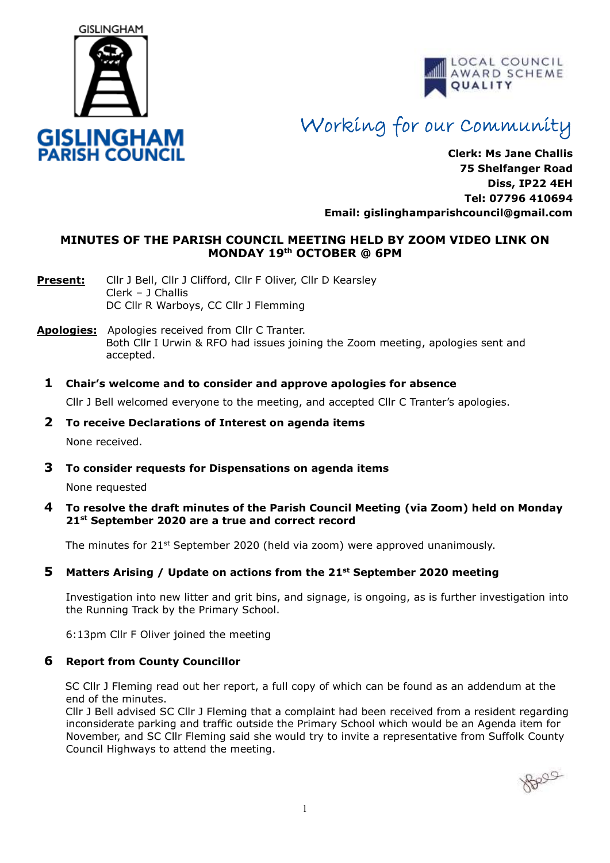



# Working for our Community

**Clerk: Ms Jane Challis 75 Shelfanger Road Diss, IP22 4EH Tel: 07796 410694 Email: [gislinghamparishcouncil@gmail.com](mailto:gislinghamparishcouncil@gmail.com)**

### **MINUTES OF THE PARISH COUNCIL MEETING HELD BY ZOOM VIDEO LINK ON MONDAY 19th OCTOBER @ 6PM**

- Present: Cllr J Bell, Cllr J Clifford, Cllr F Oliver, Cllr D Kearsley Clerk – J Challis DC Cllr R Warboys, CC Cllr J Flemming
- **Apologies:** Apologies received from Cllr C Tranter. Both Cllr I Urwin & RFO had issues joining the Zoom meeting, apologies sent and accepted.
	- **1 Chair's welcome and to consider and approve apologies for absence**

Cllr J Bell welcomed everyone to the meeting, and accepted Cllr C Tranter's apologies.

**2 To receive Declarations of Interest on agenda items**

None received.

**3 To consider requests for Dispensations on agenda items**

None requested

**4 To resolve the draft minutes of the Parish Council Meeting (via Zoom) held on Monday 21st September 2020 are a true and correct record** 

The minutes for  $21^{st}$  September 2020 (held via zoom) were approved unanimously.

#### **5 Matters Arising / Update on actions from the 21st September 2020 meeting**

Investigation into new litter and grit bins, and signage, is ongoing, as is further investigation into the Running Track by the Primary School.

6:13pm Cllr F Oliver joined the meeting

#### **6 Report from County Councillor**

SC Cllr J Fleming read out her report, a full copy of which can be found as an addendum at the end of the minutes.

 Cllr J Bell advised SC Cllr J Fleming that a complaint had been received from a resident regarding inconsiderate parking and traffic outside the Primary School which would be an Agenda item for November, and SC Cllr Fleming said she would try to invite a representative from Suffolk County Council Highways to attend the meeting.

Belle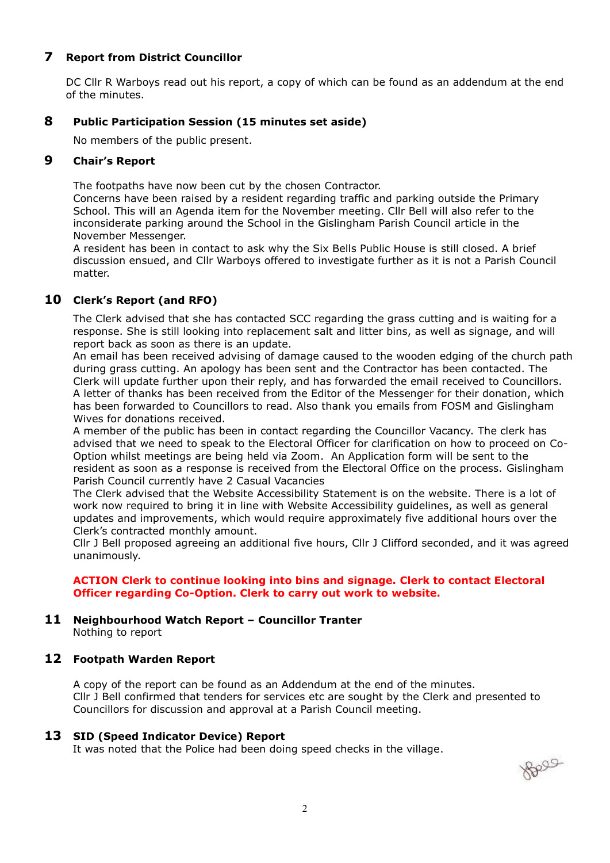### **7 Report from District Councillor**

DC Cllr R Warboys read out his report, a copy of which can be found as an addendum at the end of the minutes.

#### **8 Public Participation Session (15 minutes set aside)**

No members of the public present.

#### **9 Chair's Report**

The footpaths have now been cut by the chosen Contractor.

Concerns have been raised by a resident regarding traffic and parking outside the Primary School. This will an Agenda item for the November meeting. Cllr Bell will also refer to the inconsiderate parking around the School in the Gislingham Parish Council article in the November Messenger.

A resident has been in contact to ask why the Six Bells Public House is still closed. A brief discussion ensued, and Cllr Warboys offered to investigate further as it is not a Parish Council matter.

#### **10 Clerk's Report (and RFO)**

 The Clerk advised that she has contacted SCC regarding the grass cutting and is waiting for a response. She is still looking into replacement salt and litter bins, as well as signage, and will report back as soon as there is an update.

 An email has been received advising of damage caused to the wooden edging of the church path during grass cutting. An apology has been sent and the Contractor has been contacted. The Clerk will update further upon their reply, and has forwarded the email received to Councillors. A letter of thanks has been received from the Editor of the Messenger for their donation, which has been forwarded to Councillors to read. Also thank you emails from FOSM and Gislingham Wives for donations received.

 A member of the public has been in contact regarding the Councillor Vacancy. The clerk has advised that we need to speak to the Electoral Officer for clarification on how to proceed on Co-Option whilst meetings are being held via Zoom. An Application form will be sent to the resident as soon as a response is received from the Electoral Office on the process. Gislingham Parish Council currently have 2 Casual Vacancies

 The Clerk advised that the Website Accessibility Statement is on the website. There is a lot of work now required to bring it in line with Website Accessibility guidelines, as well as general updates and improvements, which would require approximately five additional hours over the Clerk's contracted monthly amount.

 Cllr J Bell proposed agreeing an additional five hours, Cllr J Clifford seconded, and it was agreed unanimously.

#### **ACTION Clerk to continue looking into bins and signage. Clerk to contact Electoral Officer regarding Co-Option. Clerk to carry out work to website.**

# **11 Neighbourhood Watch Report – Councillor Tranter**

Nothing to report

#### **12 Footpath Warden Report**

A copy of the report can be found as an Addendum at the end of the minutes. Cllr J Bell confirmed that tenders for services etc are sought by the Clerk and presented to Councillors for discussion and approval at a Parish Council meeting.

#### **13 SID (Speed Indicator Device) Report**

It was noted that the Police had been doing speed checks in the village.

Reag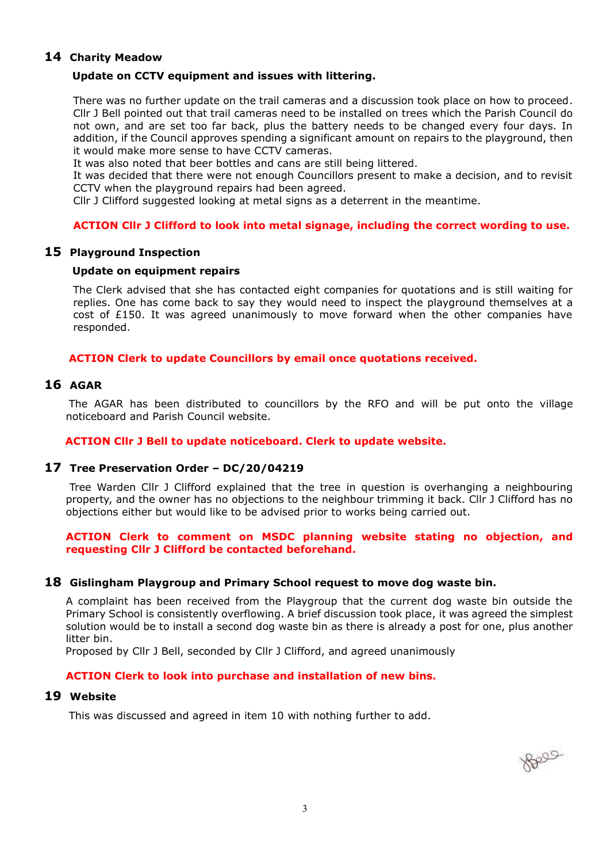### **14 Charity Meadow**

#### **Update on CCTV equipment and issues with littering.**

There was no further update on the trail cameras and a discussion took place on how to proceed. Cllr J Bell pointed out that trail cameras need to be installed on trees which the Parish Council do not own, and are set too far back, plus the battery needs to be changed every four days. In addition, if the Council approves spending a significant amount on repairs to the playground, then it would make more sense to have CCTV cameras.

It was also noted that beer bottles and cans are still being littered.

It was decided that there were not enough Councillors present to make a decision, and to revisit CCTV when the playground repairs had been agreed.

Cllr J Clifford suggested looking at metal signs as a deterrent in the meantime.

### **ACTION Cllr J Clifford to look into metal signage, including the correct wording to use.**

#### **15 Playground Inspection**

#### **Update on equipment repairs**

The Clerk advised that she has contacted eight companies for quotations and is still waiting for replies. One has come back to say they would need to inspect the playground themselves at a cost of  $£150$ . It was agreed unanimously to move forward when the other companies have responded.

#### **ACTION Clerk to update Councillors by email once quotations received.**

#### **16 AGAR**

The AGAR has been distributed to councillors by the RFO and will be put onto the village noticeboard and Parish Council website.

#### **ACTION Cllr J Bell to update noticeboard. Clerk to update website.**

#### **17 Tree Preservation Order – DC/20/04219**

Tree Warden Cllr J Clifford explained that the tree in question is overhanging a neighbouring property, and the owner has no objections to the neighbour trimming it back. Cllr J Clifford has no objections either but would like to be advised prior to works being carried out.

#### **ACTION Clerk to comment on MSDC planning website stating no objection, and requesting Cllr J Clifford be contacted beforehand.**

#### **18 Gislingham Playgroup and Primary School request to move dog waste bin.**

A complaint has been received from the Playgroup that the current dog waste bin outside the Primary School is consistently overflowing. A brief discussion took place, it was agreed the simplest solution would be to install a second dog waste bin as there is already a post for one, plus another litter bin.

Proposed by Cllr J Bell, seconded by Cllr J Clifford, and agreed unanimously

#### **ACTION Clerk to look into purchase and installation of new bins.**

#### **19 Website**

This was discussed and agreed in item 10 with nothing further to add.

Boos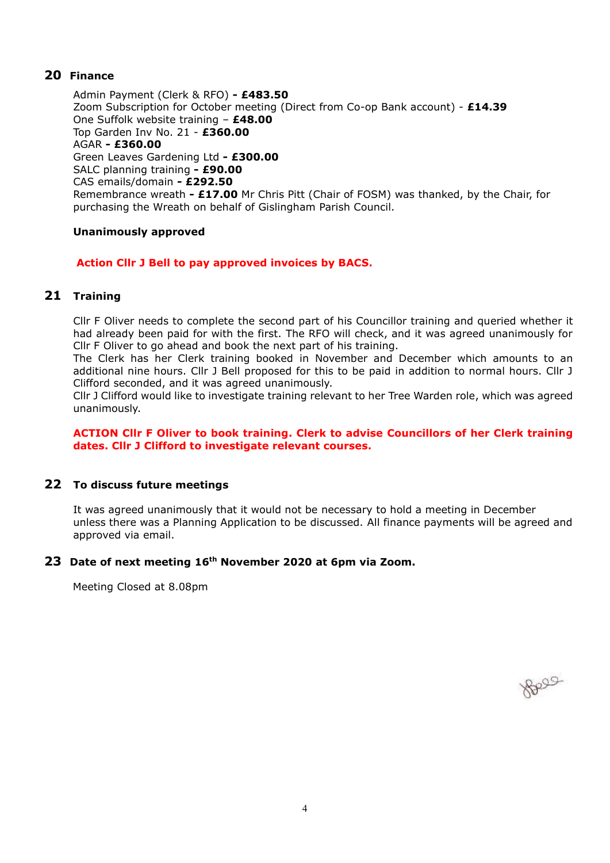### **20 Finance**

Admin Payment (Clerk & RFO) **- £483.50** Zoom Subscription for October meeting (Direct from Co-op Bank account) - **£14.39** One Suffolk website training – **£48.00** Top Garden Inv No. 21 - **£360.00** AGAR **- £360.00** Green Leaves Gardening Ltd **- £300.00** SALC planning training **- £90.00** CAS emails/domain **- £292.50** Remembrance wreath **- £17.00** Mr Chris Pitt (Chair of FOSM) was thanked, by the Chair, for purchasing the Wreath on behalf of Gislingham Parish Council.

### **Unanimously approved**

### **Action Cllr J Bell to pay approved invoices by BACS.**

## **21 Training**

Cllr F Oliver needs to complete the second part of his Councillor training and queried whether it had already been paid for with the first. The RFO will check, and it was agreed unanimously for Cllr F Oliver to go ahead and book the next part of his training.

The Clerk has her Clerk training booked in November and December which amounts to an additional nine hours. Cllr J Bell proposed for this to be paid in addition to normal hours. Cllr J Clifford seconded, and it was agreed unanimously.

Cllr J Clifford would like to investigate training relevant to her Tree Warden role, which was agreed unanimously.

#### **ACTION Cllr F Oliver to book training. Clerk to advise Councillors of her Clerk training dates. Cllr J Clifford to investigate relevant courses.**

### **22 To discuss future meetings**

It was agreed unanimously that it would not be necessary to hold a meeting in December unless there was a Planning Application to be discussed. All finance payments will be agreed and approved via email.

#### **23 Date of next meeting 16th November 2020 at 6pm via Zoom.**

Meeting Closed at 8.08pm

Belle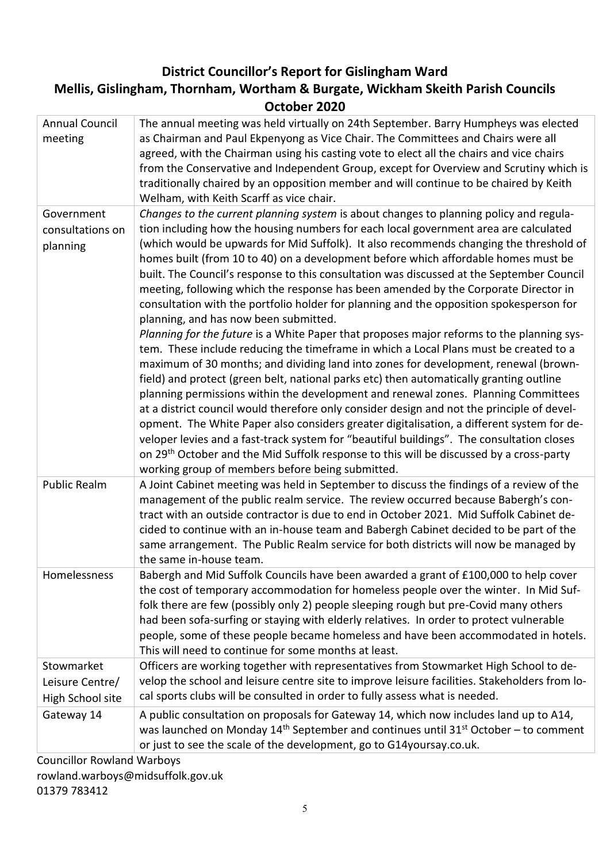# **District Councillor's Report for Gislingham Ward**

# **Mellis, Gislingham, Thornham, Wortham & Burgate, Wickham Skeith Parish Councils October 2020**

| <b>Annual Council</b><br>meeting                  | The annual meeting was held virtually on 24th September. Barry Humpheys was elected<br>as Chairman and Paul Ekpenyong as Vice Chair. The Committees and Chairs were all<br>agreed, with the Chairman using his casting vote to elect all the chairs and vice chairs<br>from the Conservative and Independent Group, except for Overview and Scrutiny which is<br>traditionally chaired by an opposition member and will continue to be chaired by Keith<br>Welham, with Keith Scarff as vice chair.                                                                                                                                                                                                                                                                                                                                                                          |
|---------------------------------------------------|------------------------------------------------------------------------------------------------------------------------------------------------------------------------------------------------------------------------------------------------------------------------------------------------------------------------------------------------------------------------------------------------------------------------------------------------------------------------------------------------------------------------------------------------------------------------------------------------------------------------------------------------------------------------------------------------------------------------------------------------------------------------------------------------------------------------------------------------------------------------------|
| Government<br>consultations on<br>planning        | Changes to the current planning system is about changes to planning policy and regula-<br>tion including how the housing numbers for each local government area are calculated<br>(which would be upwards for Mid Suffolk). It also recommends changing the threshold of<br>homes built (from 10 to 40) on a development before which affordable homes must be<br>built. The Council's response to this consultation was discussed at the September Council<br>meeting, following which the response has been amended by the Corporate Director in<br>consultation with the portfolio holder for planning and the opposition spokesperson for<br>planning, and has now been submitted.<br>Planning for the future is a White Paper that proposes major reforms to the planning sys-<br>tem. These include reducing the timeframe in which a Local Plans must be created to a |
|                                                   | maximum of 30 months; and dividing land into zones for development, renewal (brown-<br>field) and protect (green belt, national parks etc) then automatically granting outline<br>planning permissions within the development and renewal zones. Planning Committees<br>at a district council would therefore only consider design and not the principle of devel-<br>opment. The White Paper also considers greater digitalisation, a different system for de-<br>veloper levies and a fast-track system for "beautiful buildings". The consultation closes<br>on 29 <sup>th</sup> October and the Mid Suffolk response to this will be discussed by a cross-party<br>working group of members before being submitted.                                                                                                                                                      |
| <b>Public Realm</b>                               | A Joint Cabinet meeting was held in September to discuss the findings of a review of the<br>management of the public realm service. The review occurred because Babergh's con-<br>tract with an outside contractor is due to end in October 2021. Mid Suffolk Cabinet de-<br>cided to continue with an in-house team and Babergh Cabinet decided to be part of the<br>same arrangement. The Public Realm service for both districts will now be managed by<br>the same in-house team.                                                                                                                                                                                                                                                                                                                                                                                        |
| <b>Homelessness</b>                               | Babergh and Mid Suffolk Councils have been awarded a grant of £100,000 to help cover<br>the cost of temporary accommodation for homeless people over the winter. In Mid Suf-<br>folk there are few (possibly only 2) people sleeping rough but pre-Covid many others<br>had been sofa-surfing or staying with elderly relatives. In order to protect vulnerable<br>people, some of these people became homeless and have been accommodated in hotels.<br>This will need to continue for some months at least.                                                                                                                                                                                                                                                                                                                                                                |
| Stowmarket<br>Leisure Centre/<br>High School site | Officers are working together with representatives from Stowmarket High School to de-<br>velop the school and leisure centre site to improve leisure facilities. Stakeholders from lo-<br>cal sports clubs will be consulted in order to fully assess what is needed.                                                                                                                                                                                                                                                                                                                                                                                                                                                                                                                                                                                                        |
| Gateway 14                                        | A public consultation on proposals for Gateway 14, which now includes land up to A14,<br>was launched on Monday $14th$ September and continues until 31 <sup>st</sup> October – to comment<br>or just to see the scale of the development, go to G14yoursay.co.uk.                                                                                                                                                                                                                                                                                                                                                                                                                                                                                                                                                                                                           |
| Councillor Rowland Warbous                        |                                                                                                                                                                                                                                                                                                                                                                                                                                                                                                                                                                                                                                                                                                                                                                                                                                                                              |

Councillor Rowland Warboys rowland.warboys@midsuffolk.gov.uk

01379 783412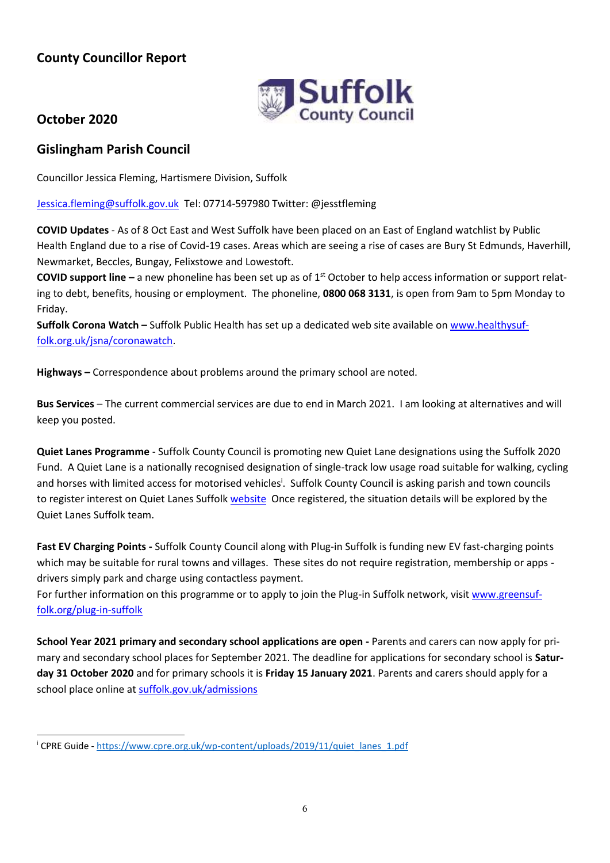# **County Councillor Report**



# **October 2020**

# **Gislingham Parish Council**

Councillor Jessica Fleming, Hartismere Division, Suffolk

[Jessica.fleming@suffolk.gov.uk](mailto:Jessica.fleming@suffolk.gov.uk) Tel: 07714-597980 Twitter: @jesstfleming

**COVID Updates** - As of 8 Oct East and West Suffolk have been placed on an East of England watchlist by Public Health England due to a rise of Covid-19 cases. Areas which are seeing a rise of cases are Bury St Edmunds, Haverhill, Newmarket, Beccles, Bungay, Felixstowe and Lowestoft.

**COVID support line** – a new phoneline has been set up as of 1<sup>st</sup> October to help access information or support relating to debt, benefits, housing or employment. The phoneline, **0800 068 3131**, is open from 9am to 5pm Monday to Friday.

**Suffolk Corona Watch –** Suffolk Public Health has set up a dedicated web site available o[n www.healthysuf](http://www.healthysuffolk.org.uk/jsna/coronawatch)[folk.org.uk/jsna/coronawatch.](http://www.healthysuffolk.org.uk/jsna/coronawatch)

**Highways –** Correspondence about problems around the primary school are noted.

**Bus Services** – The current commercial services are due to end in March 2021. I am looking at alternatives and will keep you posted.

**Quiet Lanes Programme** - Suffolk County Council is promoting new Quiet Lane designations using the Suffolk 2020 Fund. A Quiet Lane is a nationally recognised designation of single-track low usage road suitable for walking, cycling and horses with limited access for motorised vehicles<sup>i</sup>. Suffolk County Council is asking parish and town councils to register interest on Quiet Lanes Suffol[k website](https://sites.google.com/view/quietlanessuffolk/home) Once registered, the situation details will be explored by the Quiet Lanes Suffolk team.

**Fast EV Charging Points -** Suffolk County Council along with Plug-in Suffolk is funding new EV fast-charging points which may be suitable for rural towns and villages. These sites do not require registration, membership or apps drivers simply park and charge using contactless payment.

For further information on this programme or to apply to join the Plug-in Suffolk network, visit [www.greensuf](http://www.greensuffolk.org/plug-in-suffolk)[folk.org/plug-in-suffolk](http://www.greensuffolk.org/plug-in-suffolk)

**School Year 2021 primary and secondary school applications are open -** Parents and carers can now apply for primary and secondary school places for September 2021. The deadline for applications for secondary school is **Saturday 31 October 2020** and for primary schools it is **Friday 15 January 2021**. Parents and carers should apply for a school place online at [suffolk.gov.uk/admissions](https://www.suffolk.gov.uk/children-families-and-learning/schools/school-places/)

<sup>&</sup>lt;sup>i</sup> CPRE Guide - [https://www.cpre.org.uk/wp-content/uploads/2019/11/quiet\\_lanes\\_1.pdf](https://www.cpre.org.uk/wp-content/uploads/2019/11/quiet_lanes_1.pdf)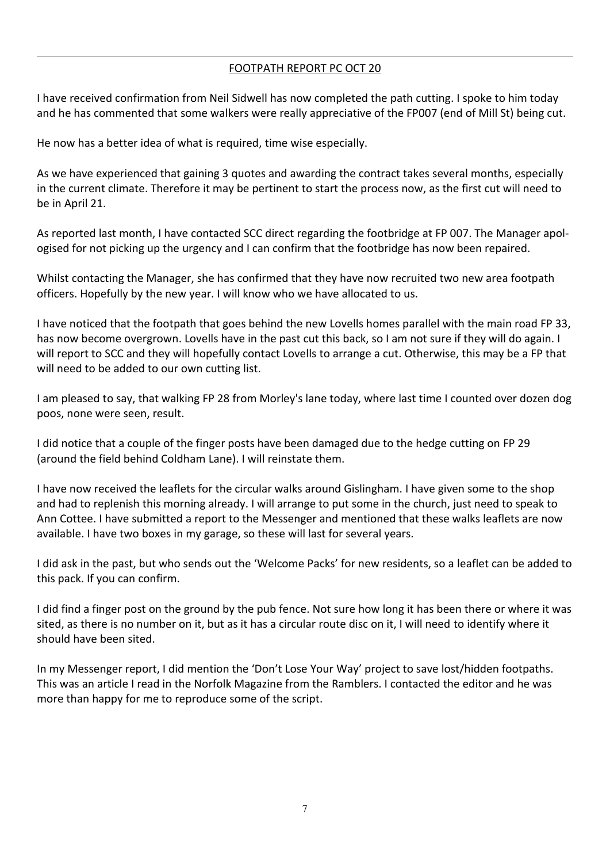### FOOTPATH REPORT PC OCT 20

I have received confirmation from Neil Sidwell has now completed the path cutting. I spoke to him today and he has commented that some walkers were really appreciative of the FP007 (end of Mill St) being cut.

He now has a better idea of what is required, time wise especially.

As we have experienced that gaining 3 quotes and awarding the contract takes several months, especially in the current climate. Therefore it may be pertinent to start the process now, as the first cut will need to be in April 21.

As reported last month, I have contacted SCC direct regarding the footbridge at FP 007. The Manager apologised for not picking up the urgency and I can confirm that the footbridge has now been repaired.

Whilst contacting the Manager, she has confirmed that they have now recruited two new area footpath officers. Hopefully by the new year. I will know who we have allocated to us.

I have noticed that the footpath that goes behind the new Lovells homes parallel with the main road FP 33, has now become overgrown. Lovells have in the past cut this back, so I am not sure if they will do again. I will report to SCC and they will hopefully contact Lovells to arrange a cut. Otherwise, this may be a FP that will need to be added to our own cutting list.

I am pleased to say, that walking FP 28 from Morley's lane today, where last time I counted over dozen dog poos, none were seen, result.

I did notice that a couple of the finger posts have been damaged due to the hedge cutting on FP 29 (around the field behind Coldham Lane). I will reinstate them.

I have now received the leaflets for the circular walks around Gislingham. I have given some to the shop and had to replenish this morning already. I will arrange to put some in the church, just need to speak to Ann Cottee. I have submitted a report to the Messenger and mentioned that these walks leaflets are now available. I have two boxes in my garage, so these will last for several years.

I did ask in the past, but who sends out the 'Welcome Packs' for new residents, so a leaflet can be added to this pack. If you can confirm.

I did find a finger post on the ground by the pub fence. Not sure how long it has been there or where it was sited, as there is no number on it, but as it has a circular route disc on it, I will need to identify where it should have been sited.

In my Messenger report, I did mention the 'Don't Lose Your Way' project to save lost/hidden footpaths. This was an article I read in the Norfolk Magazine from the Ramblers. I contacted the editor and he was more than happy for me to reproduce some of the script.